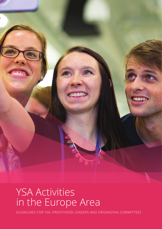

## YSA Activities in the Europe Area

GUIDELINES FOR YSA, PRIESTHOOD LEADERS AND ORGANIZING COMMITTEES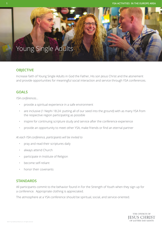### Young Single Adults

### **OBJECTIVE**

Increase faith of Young Single Adults in God the Father, His son Jesus Christ and the atonement and provide opportunities for meaningful social interaction and service through YSA conferences.

### **GOALS**

*YSA conferences…*

- provide a spiritual experience in a safe environment
- are inclusive (1 Nephi 18:24: putting all of our seed into the ground) with as many YSA from the respective region participating as possible
- inspire for continuing scripture study and service after the conference experience
- provide an opportunity to meet other YSA, make friends or find an eternal partner

*At each YSA conference, participants will be invited to* 

- pray and read their scriptures daily
- always attend Church
- participate in Institute of Religion
- become self-reliant
- honor their covenants

### **STANDARDS**

All participants commit to the behavior found in For the Strength of Youth when they sign up for a conference. Appropriate clothing is appreciated.

The atmosphere at a YSA conference should be spiritual, social, and service-oriented.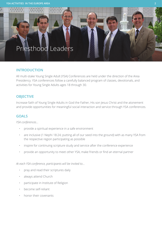### Priesthood Leaders

### **INTRODUCTION**

All multi-stake Young Single Adult (YSA) Conferences are held under the direction of the Area Presidency. YSA conferences follow a carefully balanced program of classes, devotionals, and activities for Young Single Adults ages 18 through 30.

引目

### **OBJECTIVE**

Increase faith of Young Single Adults in God the Father, His son Jesus Christ and the atonement and provide opportunities for meaningful social interaction and service through YSA conferences.

### **GOALS**

*YSA conferences…*

- provide a spiritual experience in a safe environment
- are inclusive (1 Nephi 18:24; putting all of our seed into the ground) with as many YSA from the respective region participating as possible
- inspire for continuing scripture study and service after the conference experience
- provide an opportunity to meet other YSA, make friends or find an eternal partner

*At each YSA conference, participants will be invited to...*

- pray and read their scriptures daily
- always attend Church
- participate in Institute of Religion
- become self-reliant
- honor their covenants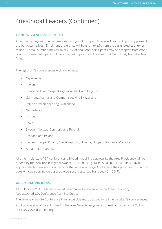### **FUNDING AND ENROLMENT**

A number of regional YSA conferences throughout Europe will receive Area funding to supplement the participant's fees. Enrolment preference will be given to YSA from the designated country or region. A small number (maximum of 20%) of additional participants may be accepted from other regions. These participants will be expected to pay the full cost without the subsidy from the Area funds.

The regional YSA conferences typically include:

- Cape Verde
- England
- France and French-speaking Switzerland, and Belgium
- Germany, Austria, and German-speaking Switzerland
- Italy and Italian-speaking Switzerland
- Netherlands
- Portugal
- Spain
- Sweden, Norway, Denmark, and Finland
- Scotland and Ireland
- Eastern Europe: Poland, Czech Republic, Slovakia, Hungary, Romania, Moldova
- Adriatic North and South

All other multi-stake YSA conferences, while still requiring approval by the Area Presidency, will be funded by the local unit budget allowance<sup>1</sup> of the hosting stake. Small participant fees may be appropriate, but leaders should ensure that all Young Single Adults have the opportunity to participate without incurring unreasonable personal costs (see Handbook 2, 16.3.7).

### **APPROVAL PROCESS**

All multi-stake YSA conferences must be approved in advance by the Area Presidency. (see attached YSA Conference Planning Guide)

The Europe Area YSA Conference Planning Guide must be used for all multi-stake YSA conferences.

Applications should be submitted to the Area Seventy assigned as priesthood advisor for YSA under EUA-YSA@ldschurch.org.

<sup>1</sup> see Handbook 1, 14.7.2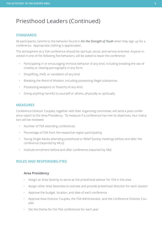#### **STANDARDS**

All participants commit to the behavior found in *For the Strength of Youth* when they sign up for a conference. Appropriate clothing is appreciated.

The atmosphere at a YSA conference should be spiritual, social, and service-oriented. Anyone involved in one of the following five behaviors, will be asked to leave the conference:

- Participating in or encouraging immoral behavior of any kind, including breaking the law of chastity or viewing pornography in any form.
- Shoplifting, theft, or vandalism of any kind.
- Breaking the Word of Wisdom, including possessing illegal substances.
- Possessing weapons or firearms of any kind.
- Doing anything harmful to yourself or others, physically or spiritually.

#### **MEASURES**

Conference Director Couples, together with their organizing committee, will send a post conference report to the Area Presidency. To measure if a conference has met its objectives, four indicators will be reviewed:

- Number of YSA attending conferences
- Percentage of YSA from the respective region participating
- Young Single Adults attending priesthood or Relief Society meetings before and after the conference (reported by MLU)
- Institute enrolment before and after conference (reported by S&I)

#### **ROLES AND RESPONSIBILITIES**

#### **Area Presidency**

- Assign an Area Seventy to serve as the priesthood advisor for YSA in the area
- Assign other Area Seventies to oversee and provide priesthood direction for each session
- Approve the budget, location, and date of each conference
- Approve Area Director Couples, the YSA Administrator, and the Conference Director Couples
- Set the theme for the YSA conferences for each year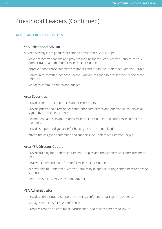### **ROLES AND RESPONSIBILITIES**

### **YSA Priesthood Advisor**

An Area Seventy is assigned as priesthood advisor for YSA in Europe.

- Makes recommendations and provides training for the Area Director Couples, the YSA Administrator, and the Conference Director Couples
- Approves conference committee members other than the Conference Director Couple
- Communicates with other Area Seventy who are assigned to oversee their regional conferences
- Manages communications and budget

#### **Area Seventies**

- Provide reports on conferences and the indicators
- Provide priesthood direction for conference committees and priesthood leaders as assigned by the Area Presidency
- Recommend and sets apart Conference Director Couples and conference committee members
- Provide support and guidance for hosting local priesthood leaders
- Attend the assigned conference and supports the Conference Director Couple

### **Area YSA Director Couple**

- Provide training for Conference Director Couples and their conference committee members
- Review recommendations for Conference Director Couples
- Are available to Conference Director Couples by telephone during conferences to provide support
- Report to Area Seventy Priesthood Advisor

### **YSA Administrator**

- Provides administrative support by tracking conferences, callings, and budgets
- Manages materials for YSA conferences
- Prepares reports on enrolment, participation, and post conference follow up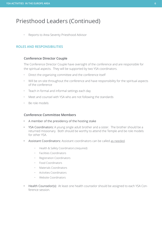• Reports to Area Seventy Priesthood Advisor

#### **ROLES AND RESPONSIBILITIES**

#### **Conference Director Couple**

The Conference Director Couple have oversight of the conference and are responsible for the spiritual aspects. They will be supported by two YSA coordinators.

- Direct the organizing committee and the conference itself
- Will be on-site throughout the conference and have responsibility for the spiritual aspects of the conference
- Teach in formal and informal settings each day
- Meet and counsel with YSA who are not following the standards
- Be role models

#### **Conference Committee Members**

- A member of the presidency of the hosting stake
- YSA Coordinators: A young single adult brother and a sister. The brother should be a returned missionary. Both should be worthy to attend the Temple and be role models for other YSA.
- Assistant Coordinators: Assistant coordinators can be called as needed.
	- Health & Safety Coordinators (required)
	- Facilities Coordinators
	- Registration Coordinators
	- Food Coordinators
	- Materials Coordinators
	- Activities Coordinators
	- Website Coordinators
- Health Counselor(s): At least one health counselor should be assigned to each YSA Conference session.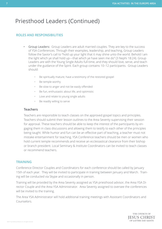### **ROLES AND RESPONSIBILITIES**

- Group Leaders: Group Leaders are adult married couples. They are key to the success of YSA Conferences. Through their examples, leadership, and teaching, Group Leaders follow the Savior's call to "hold up your light that it may shine unto the world. Behold I am the light which ye shall hold up—that which ye have seen me do" (3 Nephi 18:24). Group Leaders are with the Young Single Adults full-time, and they should love, serve, and teach under the guidance of the Spirit. Each group contains 10–12 participants. Group Leaders should:
	- Be spiritually mature; have a testimony of the restored gospel
	- Be temple worthy
	- Be slow to anger and not be easily offended
	- Be fun, enthusiastic about life, and optimistic
	- Love and relate to young single adults
	- Be readily willing to serve

#### **Teachers**

Teachers are responsible to teach classes on the approved gospel topics and principles. Teachers should submit their lesson outlines to the Area Seventy supervising their session for approval. These teachers should be able to keep the interest of the participants by engaging them in class discussions and allowing them to testify to each other of the principles being taught. While humor and fun can be an effective part of teaching, a teacher must not mistake entertainment for teaching. YSA Conference teachers should be men or women who hold current temple recommends and receive an ecclesiastical clearance from their bishop or branch president. Local Seminary & Institute Coordinators can be invited to teach classes or recommend teachers.

#### **TRAINING**

Conference Director Couples and Coordinators for each conference should be called by January 15th of each year. They will be invited to participate in training between January and March. Training will be conducted via Skype and occasionally in person.

Training will be provided by the Area Seventy assigned as YSA priesthood advisor, the Area YSA Director Couple and the Area YSA Administrator. Area Seventy assigned to oversee the conferences will be invited to the training.

The Area YSA Administrator will hold additional training meetings with Assistant Coordinators and Counselors.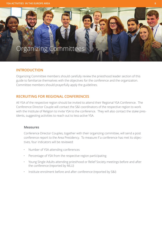### Organizing Committees

### **INTRODUCTION**

Organizing Committee members should carefully review the priesthood leader section of this guide to familiarize themselves with the objectives for the conference and the organization. Committee members should prayerfully apply the guidelines.

### **RECRUITING FOR REGIONAL CONFERENCES**

All YSA of the respective region should be invited to attend their Regional YSA Conference. The Conference Director Couple will contact the S&I coordinators of the respective region to work with the Institute of Religion to invite YSA to the conference. They will also contact the stake presidents, suggesting activities to reach out to less-active YSA.

#### **Measures**

Conference Director Couples, together with their organizing committee, will send a post conference report to the Area Presidency. To measure if a conference has met its objectives, four indicators will be reviewed:

- Number of YSA attending conferences
- Percentage of YSA from the respective region participating
- Young Single Adults attending priesthood or Relief Society meetings before and after the conference (reported by MLU)
- Institute enrolment before and after conference (reported by S&I)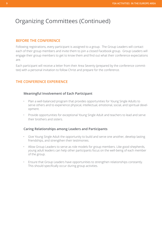### Organizing Committees (Continued)

### **BEFORE THE CONFERENCE**

Following registrations, every participant is assigned to a group. The Group Leaders will contact each of their group members and invite them to join a closed Facebook group. Group Leaders will engage their group members to get to know them and find out what their conference expectations are.

Each participant will receive a letter from their Area Seventy (prepared by the conference committee) with a personal invitation to follow Christ and prepare for the conference.

### **THE CONFERENCE EXPERIENCE**

#### **Meaningful Involvement of Each Participant**

- Plan a well-balanced program that provides opportunities for Young Single Adults to serve others and to experience physical, intellectual, emotional, social, and spiritual development.
- Provide opportunities for exceptional Young Single Adult and teachers to lead and serve their brothers and sisters.

#### **Caring Relationships among Leaders and Participants**

- Give Young Single Adult the opportunity to build and serve one another, develop lasting friendships, and strengthen their testimonies.
- Allow Group Leaders to serve as role models for group members. Like good shepherds, young adult leaders can help other participants focus on the well-being of each member of the group.
- Ensure that Group Leaders have opportunities to strengthen relationships constantly. This should specifically occur during group activities.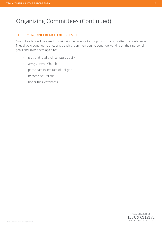### Organizing Committees (Continued)

### **THE POST-CONFERENCE EXPERIENCE**

Group Leaders will be asked to maintain the Facebook Group for six months after the conference. They should continue to encourage their group members to continue working on their personal goals and invite them again to:

- pray and read their scriptures daily
- always attend Church
- participate in Institute of Religion
- become self-reliant
- honor their covenants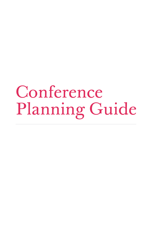# Conference Planning Guide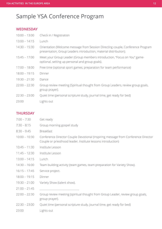### Sample YSA Conference Program

### **WEDNESDAY**

| $10:00 - 13:00$ | Check in / Registration                                                                                                                             |  |  |
|-----------------|-----------------------------------------------------------------------------------------------------------------------------------------------------|--|--|
| $13:00 - 14:15$ | Lunch                                                                                                                                               |  |  |
| $14:30 - 15:30$ | Orientation (Welcome message from Session Directing couple, Conference Program<br>presentation, Group Leaders introduction, material distribution). |  |  |
| $15:45 - 17:00$ | Meet your Group Leader (Group members introduction, "Focus on You" game-<br>optional, setting up personal and group goals).                         |  |  |
| $17:00 - 18:00$ | Free time (optional sport games, preparation for team performance)                                                                                  |  |  |
| $18:00 - 19:15$ | Dinner                                                                                                                                              |  |  |
| $19:30 - 21:30$ | Dance                                                                                                                                               |  |  |
| $22:00 - 22:30$ | Group review meeting (Spiritual thought from Group Leaders, review group goals,<br>group prayer).                                                   |  |  |
| $22:30 - 23:00$ | Quiet time (personal scripture study, journal time, get ready for bed)                                                                              |  |  |
| 23:00           | Lights out                                                                                                                                          |  |  |

### **THURSDAY**

| $7:00 - 7:30$   | Get ready                                                                                                                                         |
|-----------------|---------------------------------------------------------------------------------------------------------------------------------------------------|
| $7:30 - 8:15$   | Group morning gospel study                                                                                                                        |
| $8:30 - 9:45$   | <b>Breakfast</b>                                                                                                                                  |
| $10:00 - 10:30$ | Conference Director Couple Devotional (Inspiring message from Conference Director<br>Couple or priesthood leader, Institute lessons introduction) |
| $10:45 - 11:30$ | Institute Lesson                                                                                                                                  |
| $11:45 - 12:30$ | Institute Lesson                                                                                                                                  |
| $13:00 - 14:15$ | Lunch                                                                                                                                             |
| $14:30 - 16:00$ | Team building activity (team games, team preparation for Variety Show).                                                                           |
| $16:15 - 17:45$ | Service project.                                                                                                                                  |
| $18:00 - 19:15$ | Dinner                                                                                                                                            |
| $19:30 - 21:00$ | Variety Show (talent show).                                                                                                                       |
| $21:00 - 21:45$ |                                                                                                                                                   |
| $22:00 - 22:30$ | Group review meeting (spiritual thought from Group Leader, review group goals,<br>group prayer).                                                  |
| $22:30 - 23:00$ | Quiet time (personal scripture study, journal time, get ready for bed)                                                                            |
| 23:00           | Lights out                                                                                                                                        |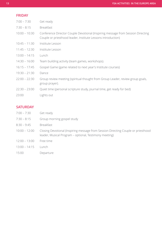| <b>FRIDAY</b> |  |  |
|---------------|--|--|

| $7:00 - 7:30$   | Get ready                                                                                                                                       |
|-----------------|-------------------------------------------------------------------------------------------------------------------------------------------------|
| $7:30 - 8:15$   | <b>Breakfast</b>                                                                                                                                |
| $10:00 - 10:30$ | Conference Director Couple Devotional (Inspiring message from Session Directing<br>Couple or priesthood leader, Institute Lessons introduction) |
| $10:45 - 11:30$ | Institute Lesson                                                                                                                                |
| $11:45 - 12:30$ | Institute Lesson                                                                                                                                |
| $13:00 - 14:15$ | Lunch                                                                                                                                           |
| $14:30 - 16:00$ | Team building activity (team games, workshops).                                                                                                 |
| $16:15 - 17:45$ | Gospel Game (game related to next year's Institute courses)                                                                                     |
| $19:30 - 21:30$ | Dance                                                                                                                                           |
| $22:00 - 22:30$ | Group review meeting (spiritual thought from Group Leader, review group goals,<br>group prayer).                                                |
| $22:30 - 23:00$ | Quiet time (personal scripture study, journal time, get ready for bed)                                                                          |
| 23:00           | Lights out                                                                                                                                      |
|                 |                                                                                                                                                 |

### **SATURDAY**

| $7:00 - 7:30$   | Get ready                                                                                                                                   |
|-----------------|---------------------------------------------------------------------------------------------------------------------------------------------|
| $7:30 - 8:15$   | Group morning gospel study                                                                                                                  |
| $8:30 - 9:45$   | <b>Breakfast</b>                                                                                                                            |
| $10:00 - 12:00$ | Closing Devotional (Inspiring message from Session Directing Couple or priesthood<br>leader, Musical Program - optional, Testimony meeting) |
| $12:00 - 13:00$ | Free time                                                                                                                                   |
| $13:00 - 14:15$ | Lunch                                                                                                                                       |
| 15:00           | Departure                                                                                                                                   |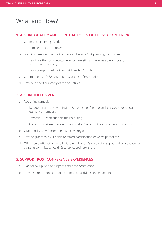### What and How?

### **1. ASSURE QUALITY AND SPIRITUAL FOCUS OF THE YSA CONFERENCES**

- a. Conference Planning Guide
	- Completed and approved
- b. Train Conference Director Couple and the local YSA planning committee
	- Training either by video conferences, meetings where feasible, or locally with the Area Seventy
	- Training supported by Area YSA Director Couple
- c. Commitments of YSA to standards at time of registration
- d. Provide a short summary of the objectives

### **2. ASSURE INCLUSIVENESS**

- a. Recruiting campaign
	- S&I coordinators actively invite YSA to the conference and ask YSA to reach out to less active members.
	- How can S&I staff support the recruiting?
	- Ask bishops, stake presidents, and stake YSA committees to extend invitations
- b. Give priority to YSA from the respective region
- c. Provide grants to YSA unable to afford participation or waive part of fee
- d. Offer free participation for a limited number of YSA providing support at conference (organizing committee, health & safety coordinators, etc.)

### **3. SUPPORT POST CONFERENCE EXPERIENCES**

- a. Plan follow-up with participants after the conference
- b. Provide a report on your post-conference activities and experiences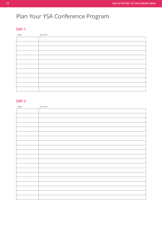### Plan Your YSA Conference Program

### **DAY 1**

| TIME | <b>ACTIVITY</b> |
|------|-----------------|
|      |                 |
|      |                 |
|      |                 |
|      |                 |
|      |                 |
|      |                 |
|      |                 |
|      |                 |
|      |                 |
|      |                 |
|      |                 |
|      |                 |

### **DAY 2**

| TIME | ACTIVITY |
|------|----------|
|      |          |
|      |          |
|      |          |
|      |          |
|      |          |
|      |          |
|      |          |
|      |          |
|      |          |
|      |          |
|      |          |
|      |          |
|      |          |
|      |          |
|      |          |
|      |          |
|      |          |
|      |          |
|      |          |
|      |          |
|      |          |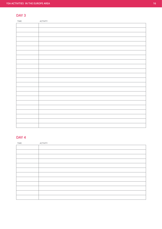### **DAY 3**

| TIME | ACTIVITY |
|------|----------|
|      |          |
|      |          |
|      |          |
|      |          |
|      |          |
|      |          |
|      |          |
|      |          |
|      |          |
|      |          |
|      |          |
|      |          |
|      |          |
|      |          |
|      |          |
|      |          |
|      |          |
|      |          |
|      |          |
|      |          |
|      |          |
|      |          |
|      |          |
|      |          |

### **DAY 4**

| TIME | <b>ACTIVITY</b> |
|------|-----------------|
|      |                 |
|      |                 |
|      |                 |
|      |                 |
|      |                 |
|      |                 |
|      |                 |
|      |                 |
|      |                 |
|      |                 |
|      |                 |
|      |                 |